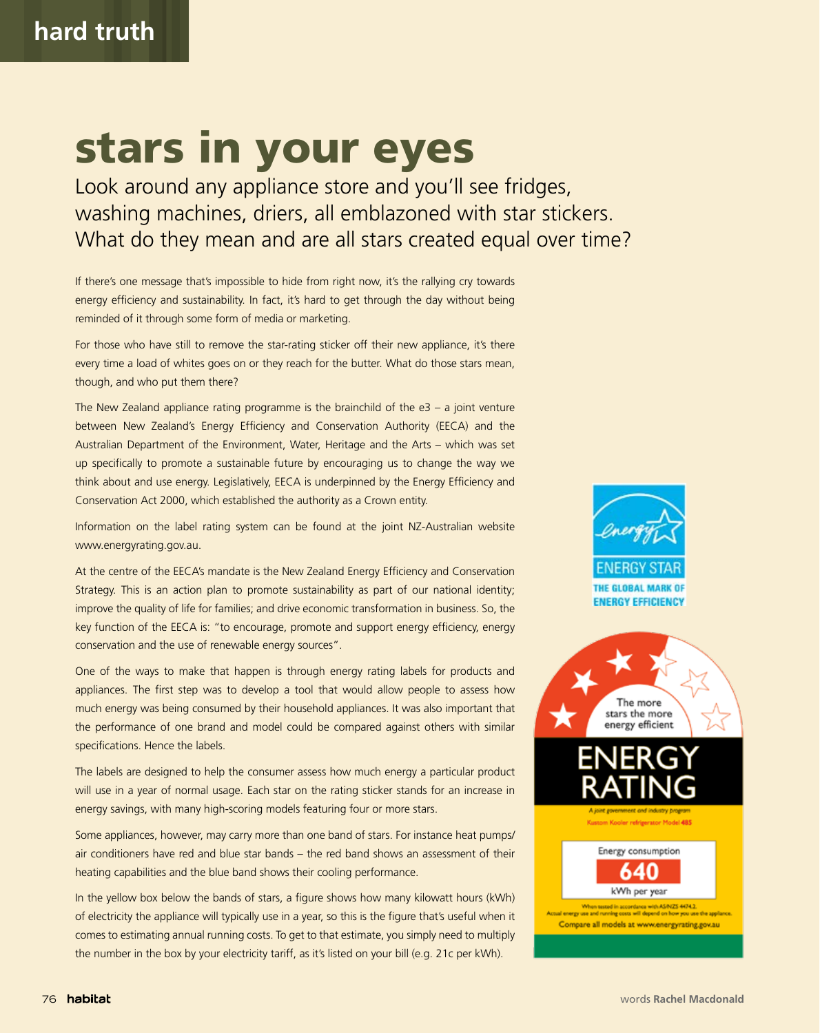## stars in your eyes

Look around any appliance store and you'll see fridges, washing machines, driers, all emblazoned with star stickers. What do they mean and are all stars created equal over time?

If there's one message that's impossible to hide from right now, it's the rallying cry towards energy efficiency and sustainability. In fact, it's hard to get through the day without being reminded of it through some form of media or marketing.

For those who have still to remove the star-rating sticker off their new appliance, it's there every time a load of whites goes on or they reach for the butter. What do those stars mean, though, and who put them there?

The New Zealand appliance rating programme is the brainchild of the  $e3 - a$  joint venture between New Zealand's Energy Efficiency and Conservation Authority (EECA) and the Australian Department of the Environment, Water, Heritage and the Arts – which was set up specifically to promote a sustainable future by encouraging us to change the way we think about and use energy. Legislatively, EECA is underpinned by the Energy Efficiency and Conservation Act 2000, which established the authority as a Crown entity.

Information on the label rating system can be found at the joint NZ-Australian website www.energyrating.gov.au.

At the centre of the EECA's mandate is the New Zealand Energy Efficiency and Conservation Strategy. This is an action plan to promote sustainability as part of our national identity; improve the quality of life for families; and drive economic transformation in business. So, the key function of the EECA is: "to encourage, promote and support energy efficiency, energy conservation and the use of renewable energy sources".

One of the ways to make that happen is through energy rating labels for products and appliances. The first step was to develop a tool that would allow people to assess how much energy was being consumed by their household appliances. It was also important that the performance of one brand and model could be compared against others with similar specifications. Hence the labels.

The labels are designed to help the consumer assess how much energy a particular product will use in a year of normal usage. Each star on the rating sticker stands for an increase in energy savings, with many high-scoring models featuring four or more stars.

Some appliances, however, may carry more than one band of stars. For instance heat pumps/ air conditioners have red and blue star bands – the red band shows an assessment of their heating capabilities and the blue band shows their cooling performance.

In the yellow box below the bands of stars, a figure shows how many kilowatt hours (kWh) of electricity the appliance will typically use in a year, so this is the figure that's useful when it comes to estimating annual running costs. To get to that estimate, you simply need to multiply the number in the box by your electricity tariff, as it's listed on your bill (e.g. 21c per kWh).